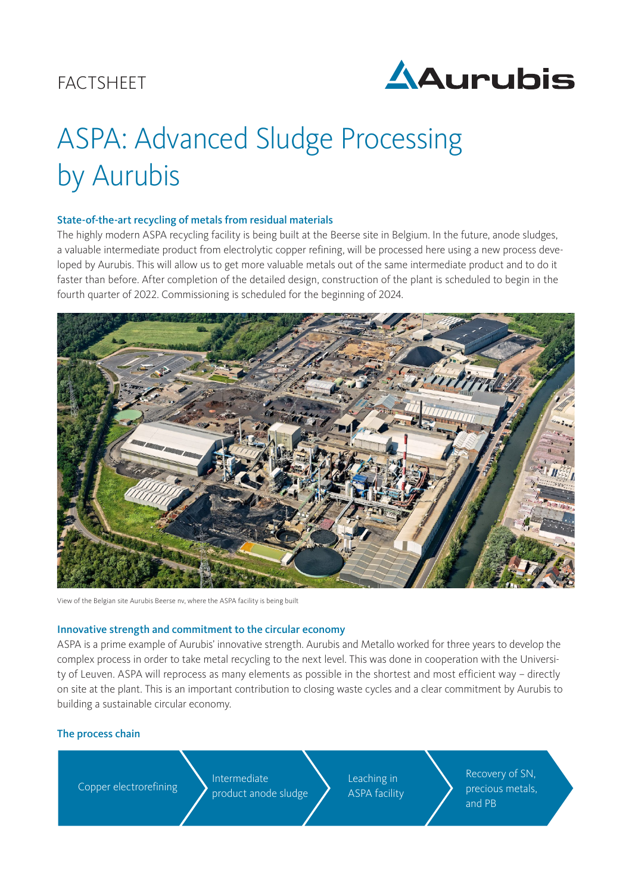# **FACTSHEET**



# ASPA: Advanced Sludge Processing by Aurubis

### State-of-the-art recycling of metals from residual materials

The highly modern ASPA recycling facility is being built at the Beerse site in Belgium. In the future, anode sludges, a valuable intermediate product from electrolytic copper refining, will be processed here using a new process developed by Aurubis. This will allow us to get more valuable metals out of the same intermediate product and to do it faster than before. After completion of the detailed design, construction of the plant is scheduled to begin in the fourth quarter of 2022. Commissioning is scheduled for the beginning of 2024.



View of the Belgian site Aurubis Beerse nv, where the ASPA facility is being built

#### Innovative strength and commitment to the circular economy

ASPA is a prime example of Aurubis' innovative strength. Aurubis and Metallo worked for three years to develop the complex process in order to take metal recycling to the next level. This was done in cooperation with the University of Leuven. ASPA will reprocess as many elements as possible in the shortest and most efficient way – directly on site at the plant. This is an important contribution to closing waste cycles and a clear commitment by Aurubis to building a sustainable circular economy.

#### The process chain

Copper electrorefining  $\sum$  Intermediate

product anode sludge

Leaching in ASPA facility Recovery of SN, precious metals, and PB